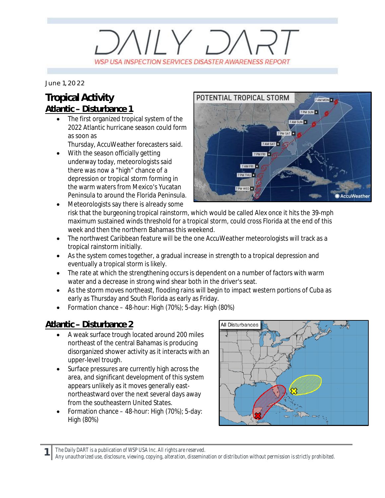# $V/Y$   $D/$ WSP USA INSPECTION SERVICES DISASTER AWARENESS REPORT

*June 1, 2022*

### **Tropical Activity Atlantic – Disturbance 1**

The first organized tropical system of the 2022 Atlantic hurricane season could form as soon as

Thursday, AccuWeather forecasters said.

- With the season officially getting underway today, meteorologists said there was now a "high" chance of a depression or tropical storm forming in the warm waters from Mexico's Yucatan Peninsula to around the Florida Peninsula.
- Meteorologists say there is already some risk that the burgeoning tropical rainstorm, which would be called Alex once it hits the 39-mph maximum sustained winds threshold for a tropical storm, could cross Florida at the end of this week and then the northern Bahamas this weekend.
- · The northwest Caribbean feature will be the one AccuWeather meteorologists will track as a tropical rainstorm initially.
- · As the system comes together, a gradual increase in strength to a tropical depression and eventually a tropical storm is likely.
- The rate at which the strengthening occurs is dependent on a number of factors with warm water and a decrease in strong wind shear both in the driver's seat.
- · As the storm moves northeast, flooding rains will begin to impact western portions of Cuba as early as Thursday and South Florida as early as Friday.
- Formation chance  $-$  48-hour: High (70%); 5-day: High (80%)

#### **Atlantic – Disturbance 2**

- A weak surface trough located around 200 miles northeast of the central Bahamas is producing disorganized shower activity as it interacts with an upper-level trough.
- Surface pressures are currently high across the area, and significant development of this system appears unlikely as it moves generally eastnortheastward over the next several days away from the southeastern United States.
- Formation chance  $-$  48-hour: High (70%); 5-day: High (80%)



**1** *The Daily DART is a publication of WSP USA Inc. All rights are reserved.*



*Any unauthorized use, disclosure, viewing, copying, alteration, dissemination or distribution without permission is strictly prohibited.*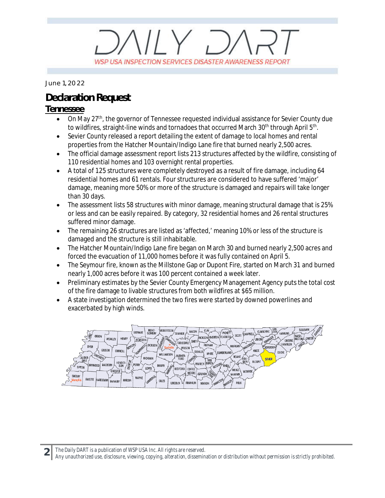# $11 \times 7$ WSP USA INSPECTION SERVICES DISASTER AWARENESS REPORT

*June 1, 2022*

## **Declaration Request**

#### **Tennessee**

- On May 27<sup>th</sup>, the governor of Tennessee requested individual assistance for Sevier County due to wildfires, straight-line winds and tornadoes that occurred March 30<sup>th</sup> through April 5<sup>th</sup>.
- · Sevier County released a report detailing the extent of damage to local homes and rental properties from the Hatcher Mountain/Indigo Lane fire that burned nearly 2,500 acres.
- · The official damage assessment report lists 213 structures affected by the wildfire, consisting of 110 residential homes and 103 overnight rental properties.
- · A total of 125 structures were completely destroyed as a result of fire damage, including 64 residential homes and 61 rentals. Four structures are considered to have suffered 'major' damage, meaning more 50% or more of the structure is damaged and repairs will take longer than 30 days.
- The assessment lists 58 structures with minor damage, meaning structural damage that is 25% or less and can be easily repaired. By category, 32 residential homes and 26 rental structures suffered minor damage.
- · The remaining 26 structures are listed as 'affected,' meaning 10% or less of the structure is damaged and the structure is still inhabitable.
- · The Hatcher Mountain/Indigo Lane fire began on March 30 and burned nearly 2,500 acres and forced the evacuation of 11,000 homes before it was fully contained on April 5.
- · The Seymour fire, known as the Millstone Gap or Dupont Fire, started on March 31 and burned nearly 1,000 acres before it was 100 percent contained a week later.
- · Preliminary estimates by the Sevier County Emergency Management Agency puts the total cost of the fire damage to livable structures from both wildfires at \$65 million.
- · A state investigation determined the two fires were started by downed powerlines and exacerbated by high winds.